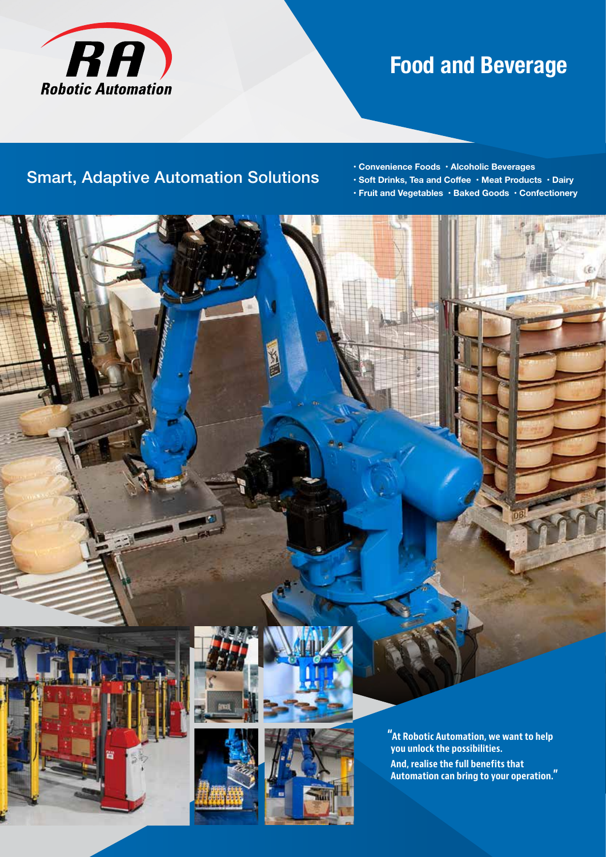

# **Food and Beverage**

## Smart, Adaptive Automation Solutions

**• Convenience Foods • Alcoholic Beverages** 

- **Soft Drinks, Tea and Coffee Meat Products Dairy**
- **Fruit and Vegetables Baked Goods Confectionery**